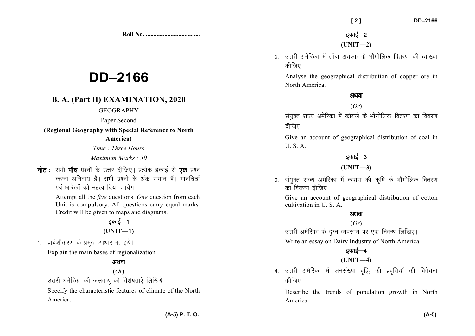**Roll No. ...................................** 

# **DD–2166**

#### **B. A. (Part II) EXAMINATION, 2020**

#### **GEOGRAPHY**

#### Paper Second

**(Regional Geography with Special Reference to North**

#### **America)**

*Time : Three Hours* 

*Maximum Marks : 50*

नोट : सभी पाँच प्रश्नों के उत्तर दीजिए। प्रत्येक इकाई से **एक** प्रश्न करना अनिवार्य है। सभी प्रश्नों के अंक समान हैं। मानचित्रों एवं आरेखों को महत्व दिया जायेगा।

> Attempt all the *five* questions. *One* question from each Unit is compulsory. All questions carry equal marks. Credit will be given to maps and diagrams.

#### डकाई—1  $(UNIT-1)$

1. प्रादेशीकरण के प्रमुख आधार बताइये।

Explain the main bases of regionalization.

#### अथवा

(*Or*)

उत्तरी अमेरिका की जलवायु की विशेषताएँ लिखिये। Specify the characteristic features of climate of the North America.

 **[ 2 ] DD–2166** 

 $(UNIT-2)$ 

2 - उत्तरी अमेरिका में ताँबा अयस्क के भौगोलिक वितरण की व्याख्या कीजिए।

Analyse the geographical distribution of copper ore in North America.

#### अथवा

(*Or*)

संयुक्त राज्य अमेरिका में कोयले के भौगोलिक वितरण का विवरण दीजिए।

Give an account of geographical distribution of coal in U. S. A.

#### डकाई—3

#### **(UNIT—3)**

3. संयुक्त राज्य अमेरिका में कपास की कृषि के भौगोलिक वितरण का विवरण दीजिए।

Give an account of geographical distribution of cotton cultivation in U. S. A.

#### अथवा

(*Or*)

उत्तरी अमेरिका के दग्ध व्यवसाय पर एक निबन्ध लिखिए। Write an essay on Dairy Industry of North America.

### डकाई—4

**(UNIT—4)** 

4. उत्तरी अमेरिका में जनसंख्या वृद्धि की प्रवृत्तियों की विवेचना कीजिए।

Describe the trends of population growth in North America.